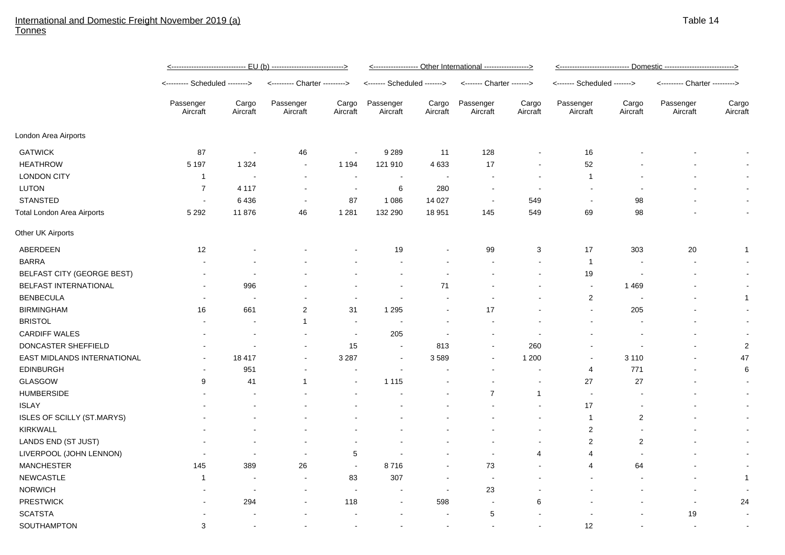## International and Domestic Freight November 2019 (a) **Tonnes**

|                                   | <u>&lt;------------------------------- EU (b) ---------------------------&gt;</u> | <------------------ Other International -----------------> |                               |                          |                             |                          |                           |                   |                             |                         |                               |                   |
|-----------------------------------|-----------------------------------------------------------------------------------|------------------------------------------------------------|-------------------------------|--------------------------|-----------------------------|--------------------------|---------------------------|-------------------|-----------------------------|-------------------------|-------------------------------|-------------------|
|                                   | <-------- Scheduled -------->                                                     |                                                            | <--------- Charter ---------> |                          | <------- Scheduled -------> |                          | <------- Charter -------> |                   | <------- Scheduled -------> |                         | <--------- Charter ---------> |                   |
|                                   | Passenger<br>Aircraft                                                             | Cargo<br>Aircraft                                          | Passenger<br>Aircraft         | Cargo<br>Aircraft        | Passenger<br>Aircraft       | Cargo<br>Aircraft        | Passenger<br>Aircraft     | Cargo<br>Aircraft | Passenger<br>Aircraft       | Cargo<br>Aircraft       | Passenger<br>Aircraft         | Cargo<br>Aircraft |
| London Area Airports              |                                                                                   |                                                            |                               |                          |                             |                          |                           |                   |                             |                         |                               |                   |
| <b>GATWICK</b>                    | 87                                                                                |                                                            | 46                            | $\blacksquare$           | 9 2 8 9                     | 11                       | 128                       | $\blacksquare$    | 16                          |                         |                               |                   |
| <b>HEATHROW</b>                   | 5 1 9 7                                                                           | 1 3 2 4                                                    | $\blacksquare$                | 1 1 9 4                  | 121 910                     | 4 6 3 3                  | 17                        | $\blacksquare$    | 52                          |                         |                               |                   |
| <b>LONDON CITY</b>                | $\mathbf{1}$                                                                      |                                                            | $\blacksquare$                | $\blacksquare$           |                             |                          | $\overline{\phantom{a}}$  | $\overline{a}$    | $\mathbf{1}$                |                         |                               |                   |
| <b>LUTON</b>                      | $\overline{7}$                                                                    | 4 1 1 7                                                    | $\overline{\phantom{a}}$      | $\sim$                   | 6                           | 280                      | $\overline{\phantom{a}}$  | $\sim$            | $\overline{\phantom{a}}$    |                         |                               |                   |
| <b>STANSTED</b>                   | $\blacksquare$                                                                    | 6436                                                       | $\blacksquare$                | 87                       | 1 0 8 6                     | 14 0 27                  | $\sim$                    | 549               | $\overline{\phantom{a}}$    | 98                      |                               |                   |
| <b>Total London Area Airports</b> | 5 2 9 2                                                                           | 11876                                                      | 46                            | 1 2 8 1                  | 132 290                     | 18 951                   | 145                       | 549               | 69                          | 98                      |                               |                   |
| Other UK Airports                 |                                                                                   |                                                            |                               |                          |                             |                          |                           |                   |                             |                         |                               |                   |
| ABERDEEN                          | 12                                                                                |                                                            |                               |                          | 19                          |                          | 99                        | 3                 | 17                          | 303                     | 20                            |                   |
| <b>BARRA</b>                      |                                                                                   |                                                            |                               |                          |                             |                          |                           | $\blacksquare$    | $\overline{1}$              |                         |                               |                   |
| <b>BELFAST CITY (GEORGE BEST)</b> |                                                                                   |                                                            |                               |                          |                             |                          |                           | $\blacksquare$    | 19                          |                         |                               |                   |
| BELFAST INTERNATIONAL             |                                                                                   | 996                                                        |                               |                          |                             | 71                       |                           |                   | $\overline{\phantom{a}}$    | 1469                    |                               |                   |
| <b>BENBECULA</b>                  |                                                                                   |                                                            |                               | $\blacksquare$           |                             |                          |                           |                   | $\overline{c}$              |                         |                               |                   |
| <b>BIRMINGHAM</b>                 | 16                                                                                | 661                                                        | $\overline{\mathbf{c}}$       | 31                       | 1 2 9 5                     |                          | 17                        |                   | $\blacksquare$              | 205                     |                               |                   |
| <b>BRISTOL</b>                    |                                                                                   |                                                            | $\overline{1}$                | $\sim$                   |                             |                          |                           |                   |                             |                         |                               |                   |
| <b>CARDIFF WALES</b>              |                                                                                   |                                                            |                               | $\blacksquare$           | 205                         |                          |                           |                   |                             |                         |                               |                   |
| DONCASTER SHEFFIELD               |                                                                                   |                                                            | $\blacksquare$                | 15                       | $\sim$                      | 813                      |                           | 260               |                             |                         |                               |                   |
| EAST MIDLANDS INTERNATIONAL       | $\blacksquare$                                                                    | 18 417                                                     | $\blacksquare$                | 3 2 8 7                  | $\sim$                      | 3589                     |                           | 1 200             | $\overline{\phantom{a}}$    | 3 1 1 0                 |                               | 47                |
| <b>EDINBURGH</b>                  |                                                                                   | 951                                                        |                               |                          |                             |                          |                           |                   | 4                           | 771                     |                               |                   |
| GLASGOW                           | 9                                                                                 | 41                                                         | -1                            | $\overline{\phantom{a}}$ | 1 1 1 5                     |                          |                           |                   | 27                          | 27                      |                               |                   |
| <b>HUMBERSIDE</b>                 |                                                                                   |                                                            |                               |                          |                             |                          | $\overline{7}$            | $\overline{1}$    | $\overline{\phantom{a}}$    |                         |                               |                   |
| <b>ISLAY</b>                      |                                                                                   |                                                            |                               |                          |                             |                          |                           | $\blacksquare$    | 17                          |                         |                               |                   |
| <b>ISLES OF SCILLY (ST.MARYS)</b> |                                                                                   |                                                            |                               |                          |                             |                          |                           | $\blacksquare$    | $\mathbf{1}$                | $\overline{\mathbf{c}}$ |                               |                   |
| <b>KIRKWALL</b>                   |                                                                                   |                                                            |                               |                          |                             |                          |                           |                   | $\overline{2}$              |                         |                               |                   |
| LANDS END (ST JUST)               |                                                                                   |                                                            |                               |                          |                             |                          |                           | $\blacksquare$    | $\overline{2}$              | $\overline{2}$          |                               |                   |
| LIVERPOOL (JOHN LENNON)           |                                                                                   |                                                            | $\blacksquare$                | 5                        |                             |                          | $\overline{\phantom{a}}$  | 4                 | $\overline{4}$              |                         |                               |                   |
| <b>MANCHESTER</b>                 | 145                                                                               | 389                                                        | 26                            | $\sim$                   | 8716                        |                          | 73                        | $\overline{a}$    | $\overline{4}$              | 64                      |                               |                   |
| <b>NEWCASTLE</b>                  | -1                                                                                |                                                            | $\blacksquare$                | 83                       | 307                         |                          | $\overline{\phantom{a}}$  |                   |                             |                         |                               |                   |
| <b>NORWICH</b>                    |                                                                                   | $\overline{\phantom{a}}$                                   | $\blacksquare$                | $\blacksquare$           | $\sim$                      | $\overline{\phantom{a}}$ | 23                        |                   |                             |                         |                               |                   |
| <b>PRESTWICK</b>                  |                                                                                   | 294                                                        | $\blacksquare$                | 118                      |                             | 598                      | $\sim$                    | 6                 |                             |                         | $\sim$                        | 24                |
| <b>SCATSTA</b>                    |                                                                                   |                                                            |                               |                          |                             |                          | 5                         |                   |                             |                         | 19                            |                   |
| SOUTHAMPTON                       | 3                                                                                 |                                                            |                               | $\blacksquare$           |                             |                          |                           |                   | 12                          |                         |                               |                   |